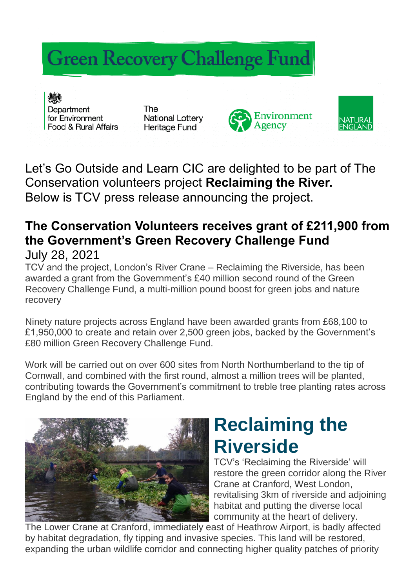## **Green Recovery Challenge Fund**

Department for Environment Food & Rural Affairs

The **National Lottery** Heritage Fund





Let's Go Outside and Learn CIC are delighted to be part of The Conservation volunteers project **Reclaiming the River.**  Below is TCV press release announcing the project.

## **The Conservation Volunteers receives grant of £211,900 from the Government's Green Recovery Challenge Fund** July 28, 2021

TCV and the project, London's River Crane – Reclaiming the Riverside, has been awarded a grant from the Government's £40 million second round of the Green Recovery Challenge Fund, a multi-million pound boost for green jobs and nature recovery

Ninety nature projects across England have been awarded grants from £68,100 to £1,950,000 to create and retain over 2,500 green jobs, backed by the Government's £80 million Green Recovery Challenge Fund.

Work will be carried out on over 600 sites from North Northumberland to the tip of Cornwall, and combined with the first round, almost a million trees will be planted, contributing towards the Government's commitment to treble tree planting rates across England by the end of this Parliament.



## **Reclaiming the Riverside**

TCV's 'Reclaiming the Riverside' will restore the green corridor along the River Crane at Cranford, West London, revitalising 3km of riverside and adjoining habitat and putting the diverse local community at the heart of delivery.

The Lower Crane at Cranford, immediately east of Heathrow Airport, is badly affected by habitat degradation, fly tipping and invasive species. This land will be restored, expanding the urban wildlife corridor and connecting higher quality patches of priority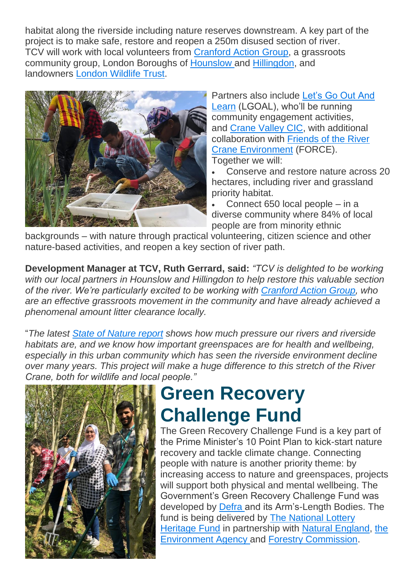habitat along the riverside including nature reserves downstream. A key part of the project is to make safe, restore and reopen a 250m disused section of river. TCV will work with local volunteers from [Cranford Action Group,](https://www.facebook.com/groups/cranfordactiongroup/) a grassroots community group, London Boroughs of [Hounslow](https://www.hounslow.gov.uk/Site/) and [Hillingdon,](https://www.hillingdon.gov.uk/) and landowners [London Wildlife Trust.](https://www.wildlondon.org.uk/)



Partners also include [Let's Go Out And](https://www.lgoal.org/)  [Learn](https://www.lgoal.org/) (LGOAL), who'll be running community engagement activities, and [Crane Valley CIC,](http://cranevalley.org.uk/) with additional collaboration with [Friends of the River](https://www.force.org.uk/)  [Crane Environment](https://www.force.org.uk/) (FORCE). Together we will:

 Conserve and restore nature across 20 hectares, including river and grassland priority habitat.

 Connect 650 local people – in a diverse community where 84% of local people are from minority ethnic

backgrounds – with nature through practical volunteering, citizen science and other nature-based activities, and reopen a key section of river path.

**Development Manager at TCV, Ruth Gerrard, said:** *"TCV is delighted to be working with our local partners in Hounslow and Hillingdon to help restore this valuable section of the river. We're particularly excited to be working with [Cranford Action Group,](https://www.facebook.com/groups/cranfordactiongroup/) who are an effective grassroots movement in the community and have already achieved a phenomenal amount litter clearance locally.*

"*The latest [State of Nature report](https://www.rspb.org.uk/our-work/state-of-nature-report/) shows how much pressure our rivers and riverside habitats are, and we know how important greenspaces are for health and wellbeing, especially in this urban community which has seen the riverside environment decline over many years. This project will make a huge difference to this stretch of the River Crane, both for wildlife and local people."*



## **Green Recovery Challenge Fund**

The Green Recovery Challenge Fund is a key part of the Prime Minister's 10 Point Plan to kick-start nature recovery and tackle climate change. Connecting people with nature is another priority theme: by increasing access to nature and greenspaces, projects will support both physical and mental wellbeing. The Government's Green Recovery Challenge Fund was developed by [Defra](https://www.gov.uk/government/organisations/department-for-environment-food-rural-affairs) and its Arm's-Length Bodies. The fund is being delivered by [The National Lottery](https://www.heritagefund.org.uk/)  [Heritage Fund](https://www.heritagefund.org.uk/) in partnership with [Natural England,](https://www.gov.uk/government/organisations/natural-england) [the](https://www.gov.uk/government/organisations/environment-agency)  [Environment Agency](https://www.gov.uk/government/organisations/environment-agency) and [Forestry Commission.](https://www.gov.uk/government/organisations/forestry-commission)